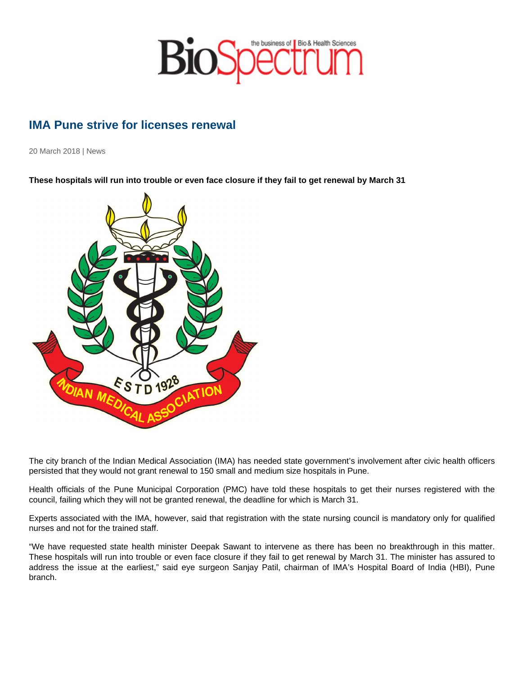## IMA Pune strive for licenses renewal

20 March 2018 | News

These hospitals will run into trouble or even face closure if they fail to get renewal by March 31

The city branch of the Indian Medical Association (IMA) has needed state government's involvement after civic health officers persisted that they would not grant renewal to 150 small and medium size hospitals in Pune.

Health officials of the Pune Municipal Corporation (PMC) have told these hospitals to get their nurses registered with the council, failing which they will not be granted renewal, the deadline for which is March 31.

Experts associated with the IMA, however, said that registration with the state nursing council is mandatory only for qualified nurses and not for the trained staff.

"We have requested state health minister Deepak Sawant to intervene as there has been no breakthrough in this matter. These hospitals will run into trouble or even face closure if they fail to get renewal by March 31. The minister has assured to address the issue at the earliest," said eye surgeon Sanjay Patil, chairman of IMA's Hospital Board of India (HBI), Pune branch.